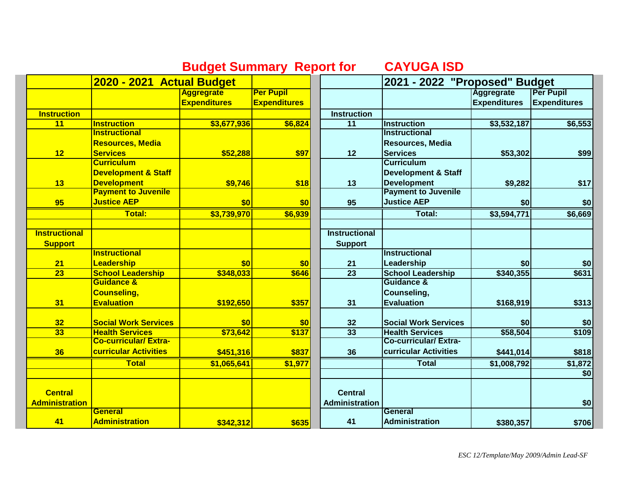|                       |                                | <b>Budget Summary Report for</b> |                     |                       | <u>UATUGA ISD</u>              |                          |                     |
|-----------------------|--------------------------------|----------------------------------|---------------------|-----------------------|--------------------------------|--------------------------|---------------------|
|                       | 2020 - 2021 Actual Budget      |                                  |                     |                       | 2021 - 2022 "Proposed" Budget  |                          |                     |
|                       |                                | <b>Aggregrate</b>                | <b>Per Pupil</b>    |                       |                                | <b>Aggregrate</b>        | <b>Per Pupil</b>    |
|                       |                                | <b>Expenditures</b>              | <b>Expenditures</b> |                       |                                | <b>Expenditures</b>      | <b>Expenditures</b> |
| <b>Instruction</b>    |                                |                                  |                     | <b>Instruction</b>    |                                |                          |                     |
| 11                    | <b>Instruction</b>             | \$3,677,936                      | \$6,824             | $\overline{11}$       | Instruction                    | $\overline{\$3,532,187}$ | \$6,553             |
|                       | <b>Instructional</b>           |                                  |                     |                       | <b>Instructional</b>           |                          |                     |
|                       | <b>Resources, Media</b>        |                                  |                     |                       | <b>Resources, Media</b>        |                          |                     |
| 12                    | <b>Services</b>                | \$52,288                         | \$97                | 12                    | <b>Services</b>                | \$53,302                 | \$99                |
|                       | <b>Curriculum</b>              |                                  |                     |                       | <b>Curriculum</b>              |                          |                     |
|                       | <b>Development &amp; Staff</b> |                                  |                     |                       | <b>Development &amp; Staff</b> |                          |                     |
| 13                    | <b>Development</b>             | \$9,746                          | \$18                | 13                    | <b>Development</b>             | \$9,282                  | \$17                |
|                       | <b>Payment to Juvenile</b>     |                                  |                     |                       | <b>Payment to Juvenile</b>     |                          |                     |
| 95                    | <b>Justice AEP</b>             | \$0                              | \$0                 | 95                    | <b>Justice AEP</b>             | \$0                      | \$0                 |
|                       | <b>Total:</b>                  | \$3,739,970                      | \$6,939             |                       | Total:                         | \$3,594,771              | \$6,669             |
|                       |                                |                                  |                     |                       |                                |                          |                     |
| <b>Instructional</b>  |                                |                                  |                     | <b>Instructional</b>  |                                |                          |                     |
| <b>Support</b>        |                                |                                  |                     | <b>Support</b>        |                                |                          |                     |
|                       | <b>Instructional</b>           |                                  |                     |                       | <b>Instructional</b>           |                          |                     |
| 21                    | Leadership                     | \$0                              | \$0                 | 21                    | Leadership                     | \$0                      | \$0]                |
| $\overline{23}$       | <b>School Leadership</b>       | \$348,033                        | \$646               | $\overline{23}$       | <b>School Leadership</b>       | \$340,355                | \$631               |
|                       | <b>Guidance &amp;</b>          |                                  |                     |                       | <b>Guidance &amp;</b>          |                          |                     |
|                       | <b>Counseling,</b>             |                                  |                     |                       | Counseling,                    |                          |                     |
| 31                    | <b>Evaluation</b>              | \$192,650                        | \$357               | 31                    | <b>Evaluation</b>              | \$168,919                | \$313               |
| 32                    | <b>Social Work Services</b>    | \$0                              | \$0                 | 32                    | <b>Social Work Services</b>    | \$0                      | \$0                 |
| 33                    | <b>Health Services</b>         | \$73,642                         | \$137               | 33                    | <b>Health Services</b>         | \$58,504                 | \$109               |
|                       | <b>Co-curricular/Extra-</b>    |                                  |                     |                       | <b>Co-curricular/Extra-</b>    |                          |                     |
| 36                    | <b>curricular Activities</b>   | \$451,316                        | \$837               | 36                    | curricular Activities          | \$441,014                | \$818               |
|                       | <b>Total</b>                   | \$1,065,641                      | \$1,977             |                       | <b>Total</b>                   | \$1,008,792              | \$1,872             |
|                       |                                |                                  |                     |                       |                                |                          | \$0                 |
|                       |                                |                                  |                     |                       |                                |                          |                     |
| <b>Central</b>        |                                |                                  |                     | <b>Central</b>        |                                |                          |                     |
| <b>Administration</b> |                                |                                  |                     | <b>Administration</b> |                                |                          | \$0                 |
|                       | <b>General</b>                 |                                  |                     |                       | General                        |                          |                     |
| 41                    | <b>Administration</b>          | \$342,312                        | \$635               | 41                    | <b>Administration</b>          | \$380,357                | \$706               |

## **Budget Summary Report for CAYUGA ISD**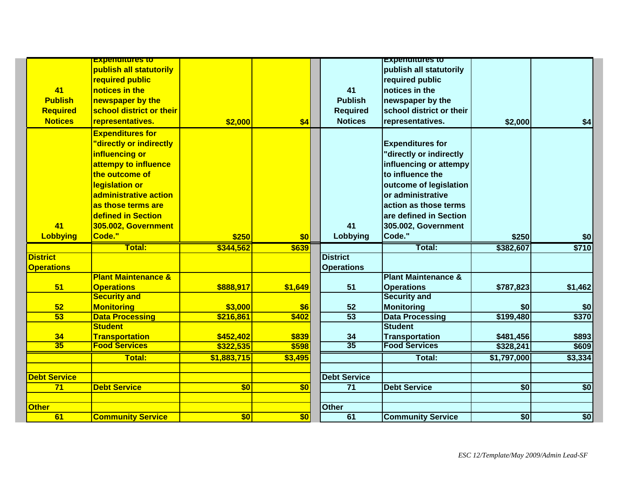|                     | <b>Experientures to</b>        |                 |                  |                     | <b>Experienties to</b>         |             |                 |
|---------------------|--------------------------------|-----------------|------------------|---------------------|--------------------------------|-------------|-----------------|
|                     | publish all statutorily        |                 |                  |                     | publish all statutorily        |             |                 |
|                     | required public                |                 |                  |                     | required public                |             |                 |
| 41                  | notices in the                 |                 |                  | 41                  | notices in the                 |             |                 |
| <b>Publish</b>      | newspaper by the               |                 |                  | <b>Publish</b>      | newspaper by the               |             |                 |
| <b>Required</b>     | school district or their       |                 |                  | <b>Required</b>     | school district or their       |             |                 |
| <b>Notices</b>      | representatives.               | \$2,000         | \$4              | <b>Notices</b>      | representatives.               | \$2,000     | \$4             |
|                     | <b>Expenditures for</b>        |                 |                  |                     |                                |             |                 |
|                     | "directly or indirectly        |                 |                  |                     | <b>Expenditures for</b>        |             |                 |
|                     | influencing or                 |                 |                  |                     |                                |             |                 |
|                     |                                |                 |                  |                     | "directly or indirectly        |             |                 |
|                     | attempy to influence           |                 |                  |                     | influencing or attempy         |             |                 |
|                     | the outcome of                 |                 |                  |                     | to influence the               |             |                 |
|                     | legislation or                 |                 |                  |                     | outcome of legislation         |             |                 |
|                     | administrative action          |                 |                  |                     | or administrative              |             |                 |
|                     | as those terms are             |                 |                  |                     | action as those terms          |             |                 |
|                     | defined in Section             |                 |                  |                     | are defined in Section         |             |                 |
| 41                  | 305.002, Government            |                 |                  | 41                  | 305.002, Government            |             |                 |
| <b>Lobbying</b>     | Code."                         | \$250           | \$0              | Lobbying            | Code."                         | \$250       | \$0             |
|                     | Total:                         | \$344,562       | \$639            |                     | Total:                         | \$382,607   | \$710           |
| <b>District</b>     |                                |                 |                  | <b>District</b>     |                                |             |                 |
| <b>Operations</b>   |                                |                 |                  | <b>Operations</b>   |                                |             |                 |
|                     | <b>Plant Maintenance &amp;</b> |                 |                  |                     | <b>Plant Maintenance &amp;</b> |             |                 |
| 51                  | <b>Operations</b>              | \$888,917       | \$1,649          | 51                  | <b>Operations</b>              | \$787,823   | \$1,462         |
|                     | <b>Security and</b>            |                 |                  |                     | <b>Security and</b>            |             |                 |
| 52                  | <b>Monitoring</b>              | \$3,000         | \$6              | 52                  | <b>Monitoring</b>              | \$0         | \$0             |
| 53                  | <b>Data Processing</b>         | \$216,861       | \$402            | $\overline{53}$     | <b>Data Processing</b>         | \$199,480   | \$370           |
|                     | <b>Student</b>                 |                 |                  |                     | <b>Student</b>                 |             |                 |
| 34                  | <b>Transportation</b>          | \$452,402       | \$839            | 34                  | <b>Transportation</b>          | \$481,456   | \$893           |
| 35                  | <b>Food Services</b>           | \$322,535       | \$598            | $\overline{35}$     | <b>Food Services</b>           | \$328,241   | \$609           |
|                     | <b>Total:</b>                  | \$1,883,715     | \$3,495          |                     | Total:                         | \$1,797,000 | \$3,334         |
|                     |                                |                 |                  |                     |                                |             |                 |
| <b>Debt Service</b> |                                |                 |                  | <b>Debt Service</b> |                                |             |                 |
| 71                  | <b>Debt Service</b>            | $\overline{50}$ | $\overline{\$0}$ | $\overline{71}$     | <b>Debt Service</b>            | \$0         | $\overline{50}$ |
| <b>Other</b>        |                                |                 |                  | Other               |                                |             |                 |
| 61                  | <b>Community Service</b>       | \$0             | \$0              | 61                  | <b>Community Service</b>       | \$0         | $\overline{50}$ |